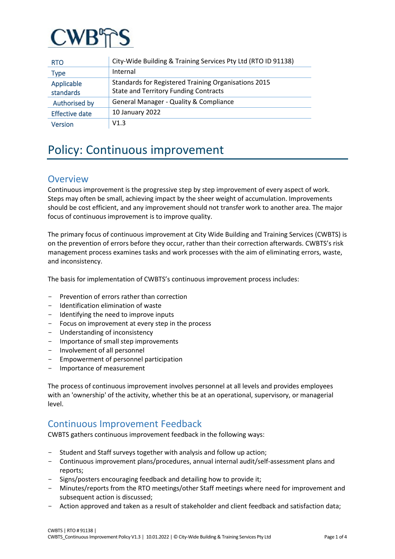

| <b>RTO</b>              | City-Wide Building & Training Services Pty Ltd (RTO ID 91138)                                        |
|-------------------------|------------------------------------------------------------------------------------------------------|
| Type                    | Internal                                                                                             |
| Applicable<br>standards | Standards for Registered Training Organisations 2015<br><b>State and Territory Funding Contracts</b> |
| Authorised by           | <b>General Manager - Quality &amp; Compliance</b>                                                    |
| <b>Effective date</b>   | 10 January 2022                                                                                      |
| <b>Version</b>          | V1.3                                                                                                 |

# Policy: Continuous improvement

### **Overview**

Continuous improvement is the progressive step by step improvement of every aspect of work. Steps may often be small, achieving impact by the sheer weight of accumulation. Improvements should be cost efficient, and any improvement should not transfer work to another area. The major focus of continuous improvement is to improve quality.

The primary focus of continuous improvement at City Wide Building and Training Services (CWBTS) is on the prevention of errors before they occur, rather than their correction afterwards. CWBTS's risk management process examines tasks and work processes with the aim of eliminating errors, waste, and inconsistency.

The basis for implementation of CWBTS's continuous improvement process includes:

- Prevention of errors rather than correction
- Identification elimination of waste
- Identifying the need to improve inputs
- Focus on improvement at every step in the process
- Understanding of inconsistency
- Importance of small step improvements
- Involvement of all personnel
- Empowerment of personnel participation<br>- Importance of measurement
- Importance of measurement

The process of continuous improvement involves personnel at all levels and provides employees with an 'ownership' of the activity, whether this be at an operational, supervisory, or managerial level.

### Continuous Improvement Feedback

CWBTS gathers continuous improvement feedback in the following ways:

- Student and Staff surveys together with analysis and follow up action;
- Continuous improvement plans/procedures, annual internal audit/self-assessment plans and reports;
- Signs/posters encouraging feedback and detailing how to provide it;
- Minutes/reports from the RTO meetings/other Staff meetings where need for improvement and subsequent action is discussed;
- Action approved and taken as a result of stakeholder and client feedback and satisfaction data;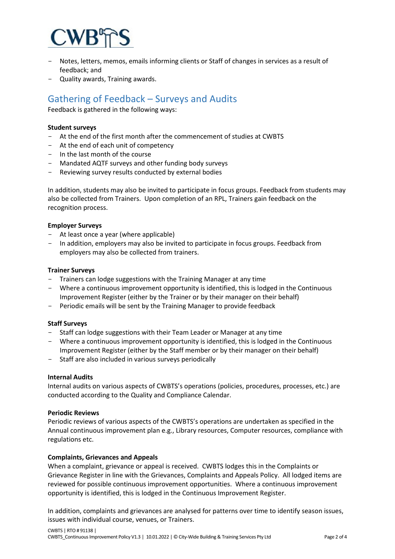

- Notes, letters, memos, emails informing clients or Staff of changes in services as a result of feedback; and
- Quality awards, Training awards.

## Gathering of Feedback – Surveys and Audits

Feedback is gathered in the following ways:

### **Student surveys**

- At the end of the first month after the commencement of studies at CWBTS
- At the end of each unit of competency
- $-$  In the last month of the course
- Mandated AQTF surveys and other funding body surveys
- Reviewing survey results conducted by external bodies

In addition, students may also be invited to participate in focus groups. Feedback from students may also be collected from Trainers. Upon completion of an RPL, Trainers gain feedback on the recognition process.

#### **Employer Surveys**

- At least once a year (where applicable)
- In addition, employers may also be invited to participate in focus groups. Feedback from employers may also be collected from trainers.

#### **Trainer Surveys**

- Trainers can lodge suggestions with the Training Manager at any time
- Where a continuous improvement opportunity is identified, this is lodged in the Continuous Improvement Register (either by the Trainer or by their manager on their behalf)
- Periodic emails will be sent by the Training Manager to provide feedback

#### **Staff Surveys**

- Staff can lodge suggestions with their Team Leader or Manager at any time
- Where a continuous improvement opportunity is identified, this is lodged in the Continuous Improvement Register (either by the Staff member or by their manager on their behalf)
- Staff are also included in various surveys periodically

#### **Internal Audits**

Internal audits on various aspects of CWBTS's operations (policies, procedures, processes, etc.) are conducted according to the Quality and Compliance Calendar.

#### **Periodic Reviews**

Periodic reviews of various aspects of the CWBTS's operations are undertaken as specified in the Annual continuous improvement plan e.g., Library resources, Computer resources, compliance with regulations etc.

#### **Complaints, Grievances and Appeals**

When a complaint, grievance or appeal is received. CWBTS lodges this in the Complaints or Grievance Register in line with the Grievances, Complaints and Appeals Policy. All lodged items are reviewed for possible continuous improvement opportunities. Where a continuous improvement opportunity is identified, this is lodged in the Continuous Improvement Register.

In addition, complaints and grievances are analysed for patterns over time to identify season issues, issues with individual course, venues, or Trainers.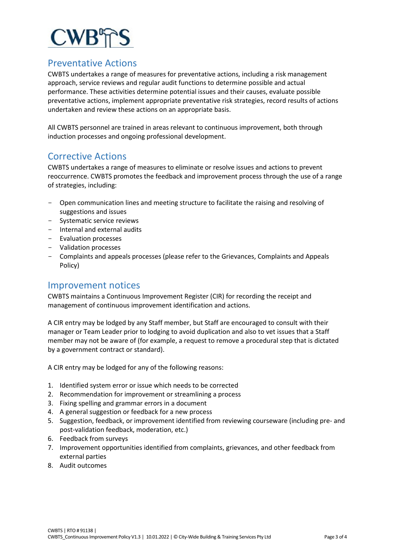

### Preventative Actions

CWBTS undertakes a range of measures for preventative actions, including a risk management approach, service reviews and regular audit functions to determine possible and actual performance. These activities determine potential issues and their causes, evaluate possible preventative actions, implement appropriate preventative risk strategies, record results of actions undertaken and review these actions on an appropriate basis.

All CWBTS personnel are trained in areas relevant to continuous improvement, both through induction processes and ongoing professional development.

### Corrective Actions

CWBTS undertakes a range of measures to eliminate or resolve issues and actions to prevent reoccurrence. CWBTS promotes the feedback and improvement process through the use of a range of strategies, including:

- Open communication lines and meeting structure to facilitate the raising and resolving of suggestions and issues
- Systematic service reviews
- Internal and external audits
- Evaluation processes
- Validation processes
- Complaints and appeals processes (please refer to the Grievances, Complaints and Appeals Policy)

### Improvement notices

CWBTS maintains a Continuous Improvement Register (CIR) for recording the receipt and management of continuous improvement identification and actions.

A CIR entry may be lodged by any Staff member, but Staff are encouraged to consult with their manager or Team Leader prior to lodging to avoid duplication and also to vet issues that a Staff member may not be aware of (for example, a request to remove a procedural step that is dictated by a government contract or standard).

A CIR entry may be lodged for any of the following reasons:

- 1. Identified system error or issue which needs to be corrected
- 2. Recommendation for improvement or streamlining a process
- 3. Fixing spelling and grammar errors in a document
- 4. A general suggestion or feedback for a new process
- 5. Suggestion, feedback, or improvement identified from reviewing courseware (including pre- and post-validation feedback, moderation, etc.)
- 6. Feedback from surveys
- 7. Improvement opportunities identified from complaints, grievances, and other feedback from external parties
- 8. Audit outcomes